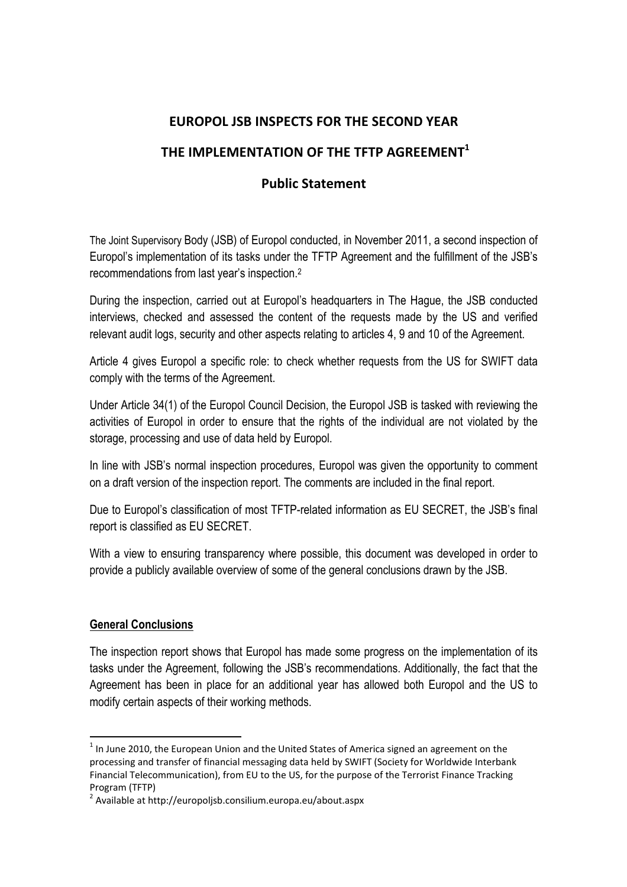## **EUROPOL JSB INSPECTS FOR THE SECOND YEAR**

## **THE IMPLEMENTATION OF THE TFTP AGREEMEN[T1](#page-0-0)**

## **Public Statement**

The Joint Supervisory Body (JSB) of Europol conducted, in November 2011, a second inspection of Europol's implementation of its tasks under the TFTP Agreement and the fulfillment of the JSB's recommendations from last year's inspection[.2](#page-0-1)

During the inspection, carried out at Europol's headquarters in The Hague, the JSB conducted interviews, checked and assessed the content of the requests made by the US and verified relevant audit logs, security and other aspects relating to articles 4, 9 and 10 of the Agreement.

Article 4 gives Europol a specific role: to check whether requests from the US for SWIFT data comply with the terms of the Agreement.

Under Article 34(1) of the Europol Council Decision, the Europol JSB is tasked with reviewing the activities of Europol in order to ensure that the rights of the individual are not violated by the storage, processing and use of data held by Europol.

In line with JSB's normal inspection procedures, Europol was given the opportunity to comment on a draft version of the inspection report. The comments are included in the final report.

Due to Europol's classification of most TFTP-related information as EU SECRET, the JSB's final report is classified as EU SECRET.

With a view to ensuring transparency where possible, this document was developed in order to provide a publicly available overview of some of the general conclusions drawn by the JSB.

## **General Conclusions**

 $\overline{a}$ 

The inspection report shows that Europol has made some progress on the implementation of its tasks under the Agreement, following the JSB's recommendations. Additionally, the fact that the Agreement has been in place for an additional year has allowed both Europol and the US to modify certain aspects of their working methods.

<span id="page-0-0"></span> $<sup>1</sup>$  In June 2010, the European Union and the United States of America signed an agreement on the</sup> processing and transfer of financial messaging data held by SWIFT (Society for Worldwide Interbank Financial Telecommunication), from EU to the US, for the purpose of the Terrorist Finance Tracking Program (TFTP)

<span id="page-0-1"></span><sup>2</sup> Available at http://europoljsb.consilium.europa.eu/about.aspx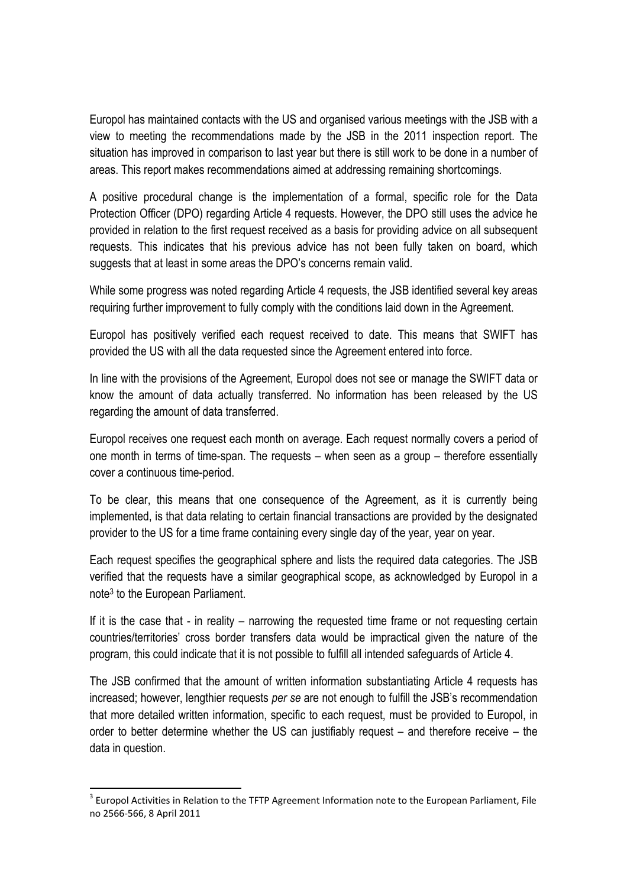Europol has maintained contacts with the US and organised various meetings with the JSB with a view to meeting the recommendations made by the JSB in the 2011 inspection report. The situation has improved in comparison to last year but there is still work to be done in a number of areas. This report makes recommendations aimed at addressing remaining shortcomings.

A positive procedural change is the implementation of a formal, specific role for the Data Protection Officer (DPO) regarding Article 4 requests. However, the DPO still uses the advice he provided in relation to the first request received as a basis for providing advice on all subsequent requests. This indicates that his previous advice has not been fully taken on board, which suggests that at least in some areas the DPO's concerns remain valid.

While some progress was noted regarding Article 4 requests, the JSB identified several key areas requiring further improvement to fully comply with the conditions laid down in the Agreement.

Europol has positively verified each request received to date. This means that SWIFT has provided the US with all the data requested since the Agreement entered into force.

In line with the provisions of the Agreement, Europol does not see or manage the SWIFT data or know the amount of data actually transferred. No information has been released by the US regarding the amount of data transferred.

Europol receives one request each month on average. Each request normally covers a period of one month in terms of time-span. The requests – when seen as a group – therefore essentially cover a continuous time-period.

To be clear, this means that one consequence of the Agreement, as it is currently being implemented, is that data relating to certain financial transactions are provided by the designated provider to the US for a time frame containing every single day of the year, year on year.

Each request specifies the geographical sphere and lists the required data categories. The JSB verified that the requests have a similar geographical scope, as acknowledged by Europol in a not[e3](#page-1-0) to the European Parliament.

If it is the case that - in reality – narrowing the requested time frame or not requesting certain countries/territories' cross border transfers data would be impractical given the nature of the program, this could indicate that it is not possible to fulfill all intended safeguards of Article 4.

The JSB confirmed that the amount of written information substantiating Article 4 requests has increased; however, lengthier requests *per se* are not enough to fulfill the JSB's recommendation that more detailed written information, specific to each request, must be provided to Europol, in order to better determine whether the US can justifiably request – and therefore receive – the data in question.

 $\overline{a}$ 

<span id="page-1-0"></span> $3$  Europol Activities in Relation to the TFTP Agreement Information note to the European Parliament, File no 2566‐566, 8 April 2011